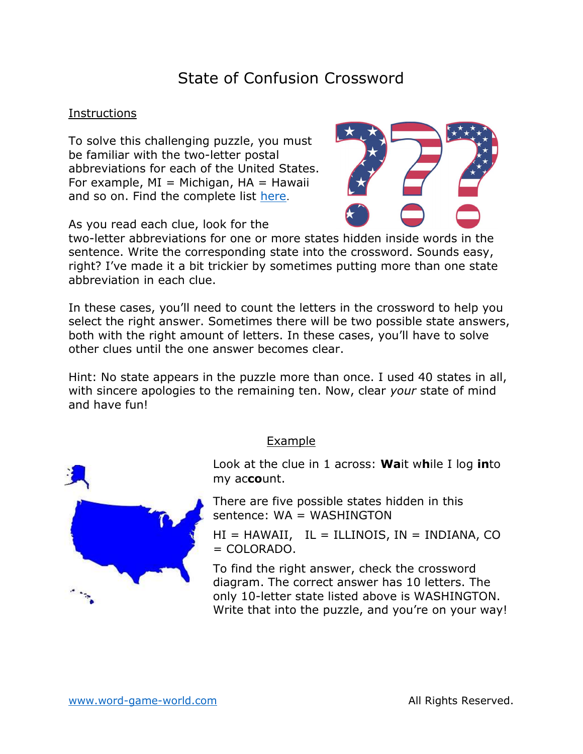# State of Confusion Crossword

#### **Instructions**

To solve this challenging puzzle, you must be familiar with the two-letter postal abbreviations for each of the United States. For example,  $MI = Michigan$ ,  $HA = Hawaii$ and so on. Find the complete list here.

As you read each clue, look for the



two-letter abbreviations for one or more states hidden inside words in the sentence. Write the corresponding state into the crossword. Sounds easy, right? I've made it a bit trickier by sometimes putting more than one state abbreviation in each clue.

In these cases, you'll need to count the letters in the crossword to help you select the right answer. Sometimes there will be two possible state answers, both with the right amount of letters. In these cases, you'll have to solve other clues until the one answer becomes clear.

Hint: No state appears in the puzzle more than once. I used 40 states in all, with sincere apologies to the remaining ten. Now, clear your state of mind and have fun!

### Example

Look at the clue in 1 across: **Wa**it while I log into my account.

There are five possible states hidden in this sentence: WA = WASHINGTON

 $HI = HAWAIL$ ,  $IL = ILLINOIS$ ,  $IN = INDIANA$ , CO  $=$  COLORADO.

To find the right answer, check the crossword diagram. The correct answer has 10 letters. The only 10-letter state listed above is WASHINGTON. Write that into the puzzle, and you're on your way!

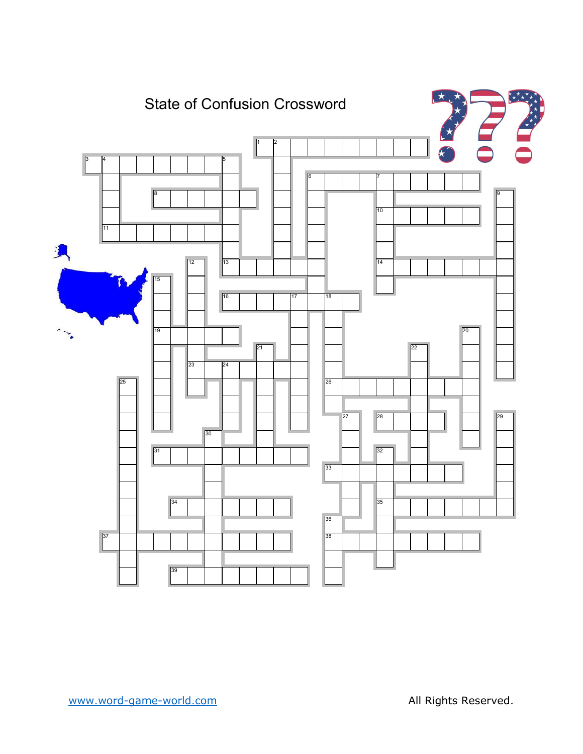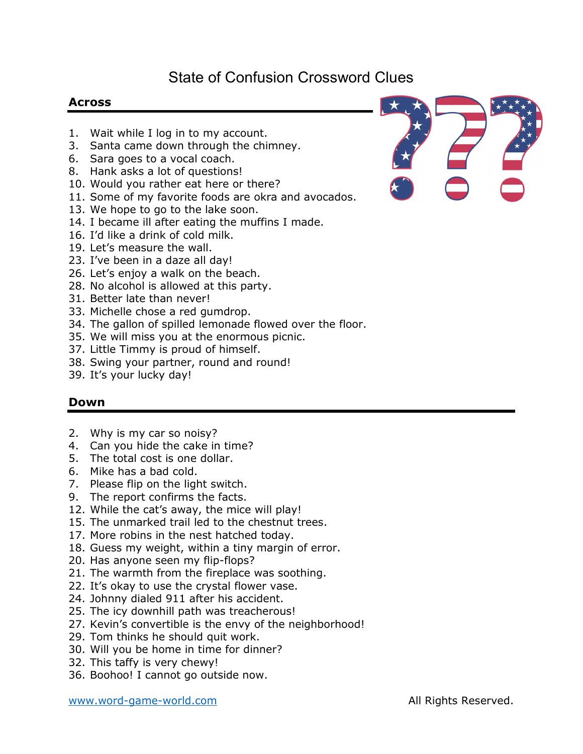## State of Confusion Crossword Clues

### Across

- 1. Wait while I log in to my account.
- 3. Santa came down through the chimney.
- 6. Sara goes to a vocal coach.
- 8. Hank asks a lot of questions!
- 10. Would you rather eat here or there?
- 11. Some of my favorite foods are okra and avocados.
- 13. We hope to go to the lake soon.
- 14. I became ill after eating the muffins I made.
- 16. I'd like a drink of cold milk.
- 19. Let's measure the wall.
- 23. I've been in a daze all day!
- 26. Let's enjoy a walk on the beach.
- 28. No alcohol is allowed at this party.
- 31. Better late than never!
- 33. Michelle chose a red gumdrop.
- 34. The gallon of spilled lemonade flowed over the floor.
- 35. We will miss you at the enormous picnic.
- 37. Little Timmy is proud of himself.
- 38. Swing your partner, round and round!
- 39. It's your lucky day!

#### Down

- 2. Why is my car so noisy?
- 4. Can you hide the cake in time?
- 5. The total cost is one dollar.
- 6. Mike has a bad cold.
- 7. Please flip on the light switch.
- 9. The report confirms the facts.
- 12. While the cat's away, the mice will play!
- 15. The unmarked trail led to the chestnut trees.
- 17. More robins in the nest hatched today.
- 18. Guess my weight, within a tiny margin of error.
- 20. Has anyone seen my flip-flops?
- 21. The warmth from the fireplace was soothing.
- 22. It's okay to use the crystal flower vase.
- 24. Johnny dialed 911 after his accident.
- 25. The icy downhill path was treacherous!
- 27. Kevin's convertible is the envy of the neighborhood!
- 29. Tom thinks he should quit work.
- 30. Will you be home in time for dinner?
- 32. This taffy is very chewy!
- 36. Boohoo! I cannot go outside now.